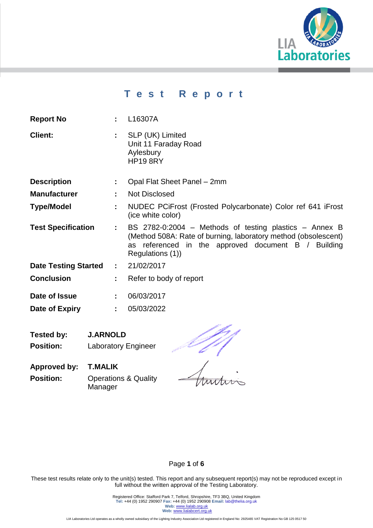

# **T e s t R e p o r t**

| 110PVIL 110    | <u>LIVOVIII</u>                                                               |  |
|----------------|-------------------------------------------------------------------------------|--|
| <b>Client:</b> | SLP (UK) Limited<br>Unit 11 Faraday Road<br>Aylesbury<br>HP <sub>19</sub> 8RY |  |
|                |                                                                               |  |

- **Description :** Opal Flat Sheet Panel 2mm
- **Manufacturer :** Not Disclosed

**Report No :** L16307A

- **Type/Model :** NUDEC PCiFrost (Frosted Polycarbonate) Color ref 641 iFrost (ice white color)
- **Test Specification :** BS 2782-0:2004 Methods of testing plastics Annex B (Method 508A: Rate of burning, laboratory method (obsolescent) as referenced in the approved document B / Building Regulations (1))
- **Date Testing Started :** 21/02/2017
- **Conclusion :** Refer to body of report
- **Date of Issue :** 06/03/2017
- **Date of Expiry :** 05/03/2022
- **Tested by: J.ARNOLD Position:** Laboratory Engineer

 $\frac{1}{2}$ 

**Approved by: T.MALIK Position: Operations & Quality** Manager

These test results relate only to the unit(s) tested. This report and any subsequent report(s) may not be reproduced except in full without the written approval of the Testing Laboratory.

Page **1** of **6**

Registered Office: Stafford Park 7, Telford, Shropshire, TF3 3BQ, United Kingdom **Tel:** +44 (0) 1952 290907 **Fax:** +44 (0) 1952 290908 **Email:** lab@thelia.org.uk Web: [www.lialab.org.uk](http://www.lialab.org.uk/) **Web:** www.lialabcert.org.uk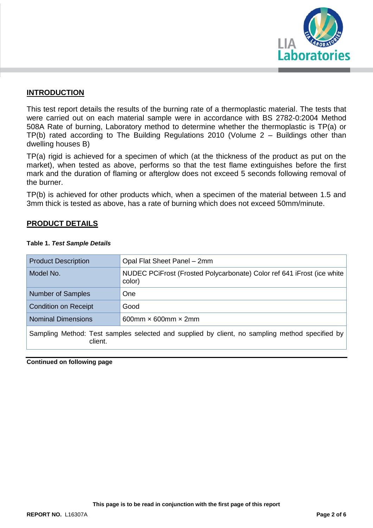

### **INTRODUCTION**

This test report details the results of the burning rate of a thermoplastic material. The tests that were carried out on each material sample were in accordance with BS 2782-0:2004 Method 508A Rate of burning, Laboratory method to determine whether the thermoplastic is TP(a) or TP(b) rated according to The Building Regulations 2010 (Volume 2 – Buildings other than dwelling houses B)

TP(a) rigid is achieved for a specimen of which (at the thickness of the product as put on the market), when tested as above, performs so that the test flame extinguishes before the first mark and the duration of flaming or afterglow does not exceed 5 seconds following removal of the burner.

TP(b) is achieved for other products which, when a specimen of the material between 1.5 and 3mm thick is tested as above, has a rate of burning which does not exceed 50mm/minute.

### **PRODUCT DETAILS**

| <b>Product Description</b>                                                                                | Opal Flat Sheet Panel - 2mm                                                      |  |  |  |
|-----------------------------------------------------------------------------------------------------------|----------------------------------------------------------------------------------|--|--|--|
| Model No.                                                                                                 | NUDEC PCIFrost (Frosted Polycarbonate) Color ref 641 iFrost (ice white<br>color) |  |  |  |
| <b>Number of Samples</b>                                                                                  | <b>One</b>                                                                       |  |  |  |
| <b>Condition on Receipt</b>                                                                               | Good                                                                             |  |  |  |
| <b>Nominal Dimensions</b>                                                                                 | 600mm $\times$ 600mm $\times$ 2mm                                                |  |  |  |
| Sampling Method: Test samples selected and supplied by client, no sampling method specified by<br>client. |                                                                                  |  |  |  |

#### **Table 1.** *Test Sample Details*

**Continued on following page**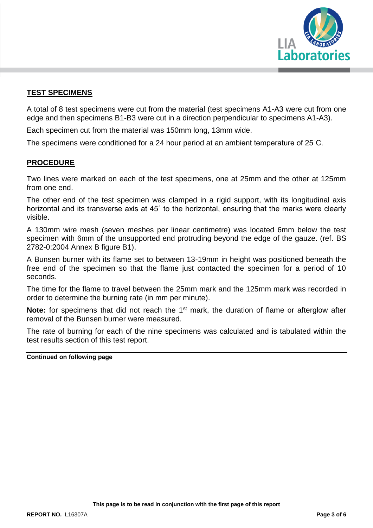

### **TEST SPECIMENS**

A total of 8 test specimens were cut from the material (test specimens A1-A3 were cut from one edge and then specimens B1-B3 were cut in a direction perpendicular to specimens A1-A3).

Each specimen cut from the material was 150mm long, 13mm wide.

The specimens were conditioned for a 24 hour period at an ambient temperature of 25˚C.

### **PROCEDURE**

Two lines were marked on each of the test specimens, one at 25mm and the other at 125mm from one end.

The other end of the test specimen was clamped in a rigid support, with its longitudinal axis horizontal and its transverse axis at 45˚ to the horizontal, ensuring that the marks were clearly visible.

A 130mm wire mesh (seven meshes per linear centimetre) was located 6mm below the test specimen with 6mm of the unsupported end protruding beyond the edge of the gauze. (ref. BS 2782-0:2004 Annex B figure B1).

A Bunsen burner with its flame set to between 13-19mm in height was positioned beneath the free end of the specimen so that the flame just contacted the specimen for a period of 10 seconds.

The time for the flame to travel between the 25mm mark and the 125mm mark was recorded in order to determine the burning rate (in mm per minute).

**Note:** for specimens that did not reach the 1<sup>st</sup> mark, the duration of flame or afterglow after removal of the Bunsen burner were measured.

The rate of burning for each of the nine specimens was calculated and is tabulated within the test results section of this test report.

**Continued on following page**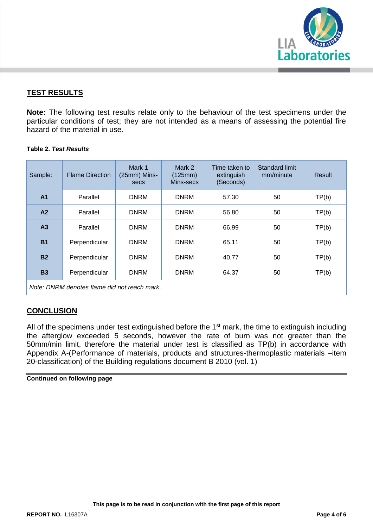

### **TEST RESULTS**

**Note:** The following test results relate only to the behaviour of the test specimens under the particular conditions of test; they are not intended as a means of assessing the potential fire hazard of the material in use.

#### **Table 2.** *Test Results*

| Sample:                                      | <b>Flame Direction</b> | Mark 1<br>(25mm) Mins-<br>secs | Mark 2<br>(125mm)<br>Mins-secs | Time taken to<br>extinguish<br>(Seconds) | Standard limit<br>mm/minute | Result |  |
|----------------------------------------------|------------------------|--------------------------------|--------------------------------|------------------------------------------|-----------------------------|--------|--|
| A <sub>1</sub>                               | Parallel               | <b>DNRM</b>                    | <b>DNRM</b>                    | 57.30                                    | 50                          | TP(b)  |  |
| A2                                           | Parallel               | <b>DNRM</b>                    | <b>DNRM</b>                    | 56.80                                    | 50                          | TP(b)  |  |
| A <sub>3</sub>                               | Parallel               | <b>DNRM</b>                    | <b>DNRM</b>                    | 66.99                                    | 50                          | TP(b)  |  |
| <b>B1</b>                                    | Perpendicular          | <b>DNRM</b>                    | <b>DNRM</b>                    | 65.11                                    | 50                          | TP(b)  |  |
| <b>B2</b>                                    | Perpendicular          | <b>DNRM</b>                    | <b>DNRM</b>                    | 40.77                                    | 50                          | TP(b)  |  |
| <b>B3</b>                                    | Perpendicular          | <b>DNRM</b>                    | <b>DNRM</b>                    | 64.37                                    | 50                          | TP(b)  |  |
| Note: DNRM denotes flame did not reach mark. |                        |                                |                                |                                          |                             |        |  |

### **CONCLUSION**

All of the specimens under test extinguished before the 1<sup>st</sup> mark, the time to extinguish including the afterglow exceeded 5 seconds, however the rate of burn was not greater than the 50mm/min limit, therefore the material under test is classified as TP(b) in accordance with Appendix A-(Performance of materials, products and structures-thermoplastic materials –item 20-classification) of the Building regulations document B 2010 (vol. 1)

**Continued on following page**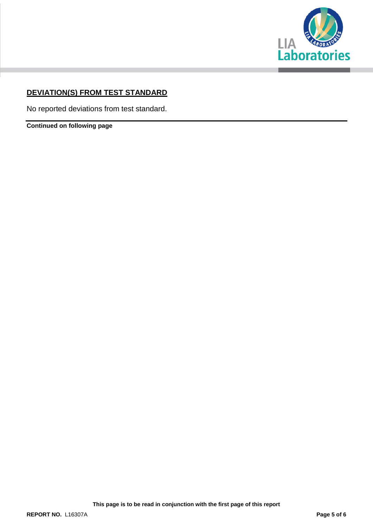

# **DEVIATION(S) FROM TEST STANDARD**

No reported deviations from test standard.

**Continued on following page**

**This page is to be read in conjunction with the first page of this report**